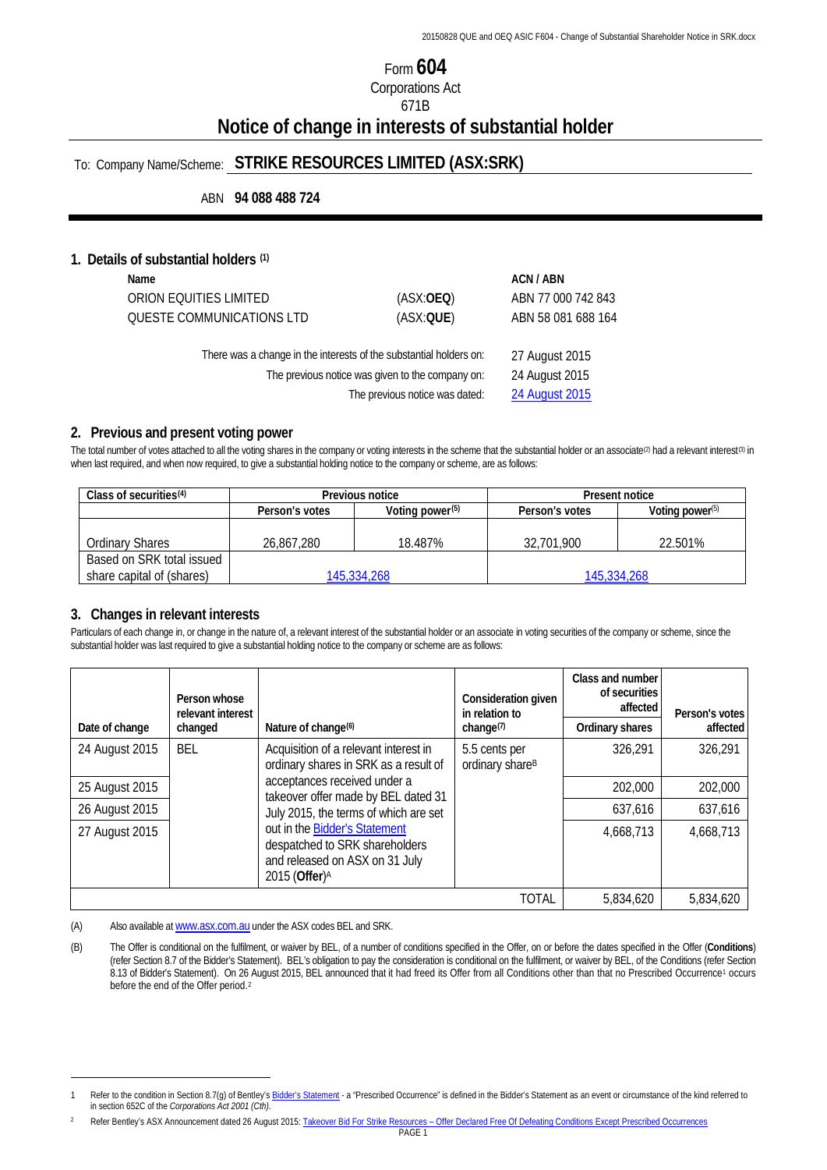# Form **604** Corporations Act 671B **Notice of change in interests of substantial holder**

# To: Company Name/Scheme: **STRIKE RESOURCES LIMITED (ASX:SRK)**

ABN **94 088 488 724**

#### **1. Details of substantial holders [\(1\)](#page-2-0)**

| Name                                             |                                                                    | ACN / ABN          |
|--------------------------------------------------|--------------------------------------------------------------------|--------------------|
| ORION EQUITIES LIMITED                           | (ASK:OEO)                                                          | ABN 77 000 742 843 |
| QUESTE COMMUNICATIONS LTD                        | (ASX:QUE)                                                          | ABN 58 081 688 164 |
|                                                  | There was a change in the interests of the substantial holders on: | 27 August 2015     |
| The previous notice was given to the company on: | 24 August 2015                                                     |                    |
|                                                  | The previous notice was dated:                                     | 24 August 2015     |
|                                                  |                                                                    |                    |

#### **2. Previous and present voting power**

The total number of votes attached to all the voting shares in the company or voting interests in the scheme that the substantial holder or an associate<sup>[\(2\)](#page-2-1)</sup> had a relevant interest<sup>[\(3\)](#page-2-2)</sup> in when last required, and when now required, to give a substantial holding notice to the company or scheme, are as follows:

| Class of securities $(4)$ | Previous notice |                             | Present notice |                    |
|---------------------------|-----------------|-----------------------------|----------------|--------------------|
|                           | Person's votes  | Voting power <sup>(5)</sup> | Person's votes | Voting power $(5)$ |
|                           |                 |                             |                |                    |
| Ordinary Shares           | 26.867.280      | 18.487%                     | 32,701,900     | 22.501%            |
| Based on SRK total issued |                 |                             |                |                    |
| share capital of (shares) | 145,334,268     |                             | 145,334,268    |                    |

## **3. Changes in relevant interests**

<u>.</u>

Particulars of each change in, or change in the nature of, a relevant interest of the substantial holder or an associate in voting securities of the company or scheme, since the substantial holder was last required to give a substantial holding notice to the company or scheme are as follows:

|                | Person whose<br>relevant interest          |                                                                                                                                                                         | Consideration given<br>in relation to        | Class and number<br>of securities<br>affected | Person's votes |
|----------------|--------------------------------------------|-------------------------------------------------------------------------------------------------------------------------------------------------------------------------|----------------------------------------------|-----------------------------------------------|----------------|
| Date of change | Nature of change <sup>(6)</sup><br>changed | change $(7)$                                                                                                                                                            | Ordinary shares                              | affected                                      |                |
| 24 August 2015 | <b>BEL</b>                                 | Acquisition of a relevant interest in<br>ordinary shares in SRK as a result of                                                                                          | 5.5 cents per<br>ordinary share <sup>B</sup> | 326,291                                       | 326,291        |
| 25 August 2015 |                                            | acceptances received under a<br>takeover offer made by BEL dated 31                                                                                                     |                                              | 202,000                                       | 202,000        |
| 26 August 2015 |                                            | July 2015, the terms of which are set<br>out in the Bidder's Statement<br>despatched to SRK shareholders<br>and released on ASX on 31 July<br>2015 (Offer) <sup>A</sup> |                                              | 637,616                                       | 637,616        |
| 27 August 2015 |                                            |                                                                                                                                                                         |                                              | 4,668,713                                     | 4,668,713      |
|                |                                            |                                                                                                                                                                         | <b>TOTAL</b>                                 | 5,834,620                                     | 5,834,620      |

(A) Also available a[t www.asx.com.au](http://www.asx.com.au/) under the ASX codes BEL and SRK.

(B) The Offer is conditional on the fulfilment, or waiver by BEL, of a number of conditions specified in the Offer, on or before the dates specified in the Offer (**Conditions**) (refer Section 8.7 of the Bidder's Statement). BEL's obligation to pay the consideration is conditional on the fulfilment, or waiver by BEL, of the Conditions (refer Section 8.13 of Bidder's Statement). On 26 August 2015, BEL announced that it had freed its Offer from all Conditions other than that no Prescribed Occurrence<sup>1</sup> occurs before the end of the Offer period.[2](#page-0-1) 

<span id="page-0-0"></span><sup>1</sup> Refer to the condition in Section 8.7(g) of Bentley'[s Bidder's Statement](http://www.bel.com.au/sites/default/files/20150731%20BEL%20ASX%20Despatch%20of%20Bidders%20Statement%20to%20Holders%20of%20SRK.pdf) - a "Prescribed Occurrence" is defined in the Bidder's Statement as an event or circumstance of the kind referred to in section 652C of the *Corporations Act 2001 (Cth)*.

<span id="page-0-1"></span>Refer Bentley's ASX Announcement dated 26 August 2015: Takeover Bid For Strike Resources - [Offer Declared Free Of Defeating Conditions Except Prescribed Occurrences](http://www.bel.com.au/sites/default/files/20150826%20BEL%20ASX%20SRK%20Takeover%20Bid%20Declared%20free%20of%20Certain%20defeating%20conditions.pdf)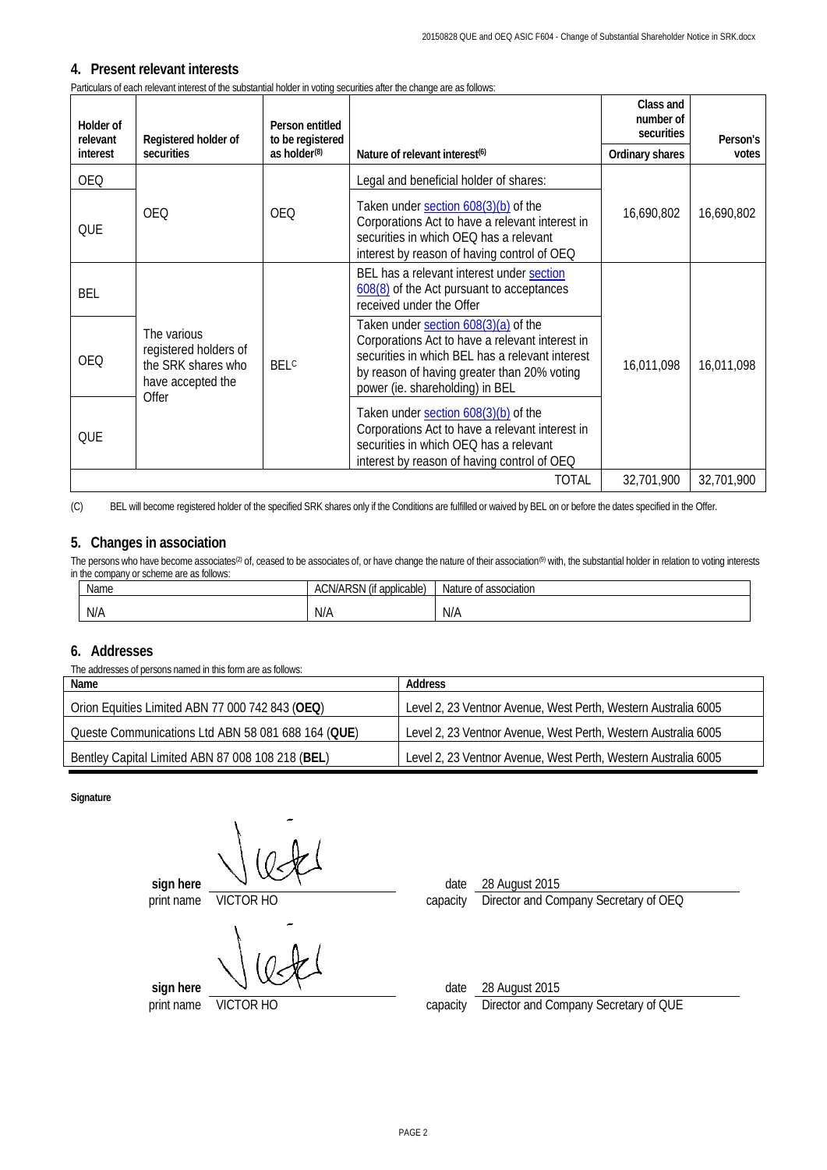### **4. Present relevant interests**

Particulars of each relevant interest of the substantial holder in voting securities after the change are as follows:

| Holder of<br>relevant | Registered holder of                                                                     | Person entitled<br>to be registered |                                                                                                                                                                                                                              | Class and<br>number of<br>securities | Person's   |
|-----------------------|------------------------------------------------------------------------------------------|-------------------------------------|------------------------------------------------------------------------------------------------------------------------------------------------------------------------------------------------------------------------------|--------------------------------------|------------|
| interest              | securities                                                                               | as holder $(8)$                     | Nature of relevant interest <sup>(6)</sup>                                                                                                                                                                                   | Ordinary shares                      | votes      |
| <b>OEQ</b>            |                                                                                          |                                     | Legal and beneficial holder of shares:                                                                                                                                                                                       |                                      |            |
| QUE                   | <b>OEQ</b>                                                                               | <b>OEO</b>                          | Taken under section 608(3)(b) of the<br>Corporations Act to have a relevant interest in<br>securities in which OEQ has a relevant<br>interest by reason of having control of OEQ                                             | 16,690,802                           | 16,690,802 |
| BEL                   |                                                                                          |                                     | BEL has a relevant interest under section<br>608(8) of the Act pursuant to acceptances<br>received under the Offer                                                                                                           |                                      |            |
| <b>OEO</b>            | The various<br>registered holders of<br>the SRK shares who<br>have accepted the<br>Offer | <b>BELC</b>                         | Taken under section 608(3)(a) of the<br>Corporations Act to have a relevant interest in<br>securities in which BEL has a relevant interest<br>by reason of having greater than 20% voting<br>power (ie. shareholding) in BEL | 16,011,098                           | 16,011,098 |
| QUE                   |                                                                                          |                                     | Taken under section 608(3)(b) of the<br>Corporations Act to have a relevant interest in<br>securities in which OEQ has a relevant<br>interest by reason of having control of OEQ                                             |                                      |            |
|                       |                                                                                          |                                     | TOTAL                                                                                                                                                                                                                        | 32,701,900                           | 32.701.900 |

(C) BEL will become registered holder of the specified SRK shares only if the Conditions are fulfilled or waived by BEL on or before the dates specified in the Offer.

## **5. Changes in association**

The persons who have become associates<sup>(2)</sup> of, ceased to be associates of, or have change the nature of their association<sup>(9)</sup> with, the substantial holder in relation to voting interests in the company or scheme are as follows:

| Name | $\sum_{n=1}^{\infty}$<br>$\cdots$<br><b>Jicoblo</b><br>app<br>$\Delta U$<br>,,,<br>۱۰ ۱۱ ان<br>iiludule.<br>٦U<br>$\overline{M}$<br>- 11 | . .<br>Nature<br>association: `<br>∙0t |
|------|------------------------------------------------------------------------------------------------------------------------------------------|----------------------------------------|
| N/A  | <b>AII</b><br>N/A                                                                                                                        | N/A                                    |

#### **6. Addresses**

The addresses of persons named in this form are as follows:

| Name                                               | Address                                                        |
|----------------------------------------------------|----------------------------------------------------------------|
| Orion Equities Limited ABN 77 000 742 843 (OEQ)    | Level 2, 23 Ventnor Avenue, West Perth, Western Australia 6005 |
| Queste Communications Ltd ABN 58 081 688 164 (QUE) | Level 2, 23 Ventnor Avenue, West Perth, Western Australia 6005 |
| Bentley Capital Limited ABN 87 008 108 218 (BEL)   | Level 2, 23 Ventnor Avenue, West Perth, Western Australia 6005 |

**Signature**

**sign here**  $\sqrt{ }$  \  $\sqrt{ }$  \ date 28 August 2015 print name VICTOR HO capacity Director and Company Secretary of OEQ

**sign here**  $\sqrt{ }$ 

print name VICTOR HO capacity Director and Company Secretary of QUE